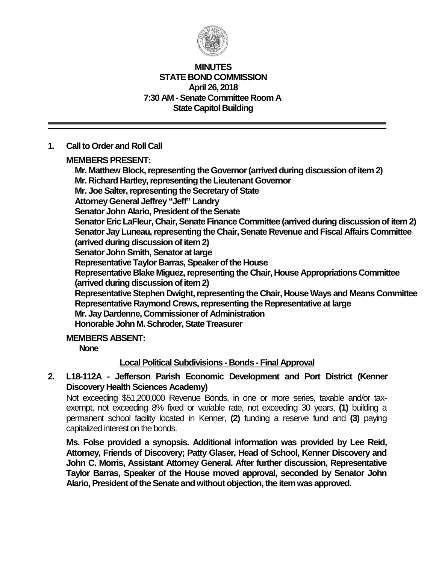

#### **MINUTES STATE BOND COMMISSION April 26, 2018 7:30 AM - Senate Committee Room A State Capitol Building**

### **1. Call to Order and Roll Call**

**MEMBERS PRESENT:**

**Mr. Matthew Block, representing the Governor(arrived during discussion of item 2) Mr. Richard Hartley, representing the Lieutenant Governor Mr. Joe Salter, representing the Secretary of State Attorney General Jeffrey "Jeff" Landry Senator John Alario, President of the Senate Senator Eric LaFleur, Chair, Senate Finance Committee (arrived during discussion of item 2) Senator Jay Luneau, representing the Chair, Senate Revenue and Fiscal Affairs Committee (arrived during discussion of item 2) Senator John Smith, Senator at large Representative Taylor Barras, Speaker of the House Representative Blake Miguez, representing the Chair, House Appropriations Committee (arrived during discussion of item 2) Representative Stephen Dwight, representing the Chair, House Ways and Means Committee Representative Raymond Crews, representing the Representative at large Mr. Jay Dardenne, Commissioner of Administration Honorable John M. Schroder, State Treasurer**

### **MEMBERS ABSENT:**

**None**

### **Local Political Subdivisions - Bonds - Final Approval**

**2. L18-112A - Jefferson Parish Economic Development and Port District (Kenner Discovery Health Sciences Academy)**

Not exceeding \$51,200,000 Revenue Bonds, in one or more series, taxable and/or taxexempt, not exceeding 8% fixed or variable rate, not exceeding 30 years, **(1)** building a permanent school facility located in Kenner, **(2)** funding a reserve fund and **(3)** paying capitalized interest on the bonds.

**Ms. Folse provided a synopsis. Additional information was provided by Lee Reid, Attorney, Friends of Discovery; Patty Glaser, Head of School, Kenner Discovery and John C. Morris, Assistant Attorney General. After further discussion, Representative Taylor Barras, Speaker of the House moved approval, seconded by Senator John Alario, President of the Senate and without objection, the item was approved.**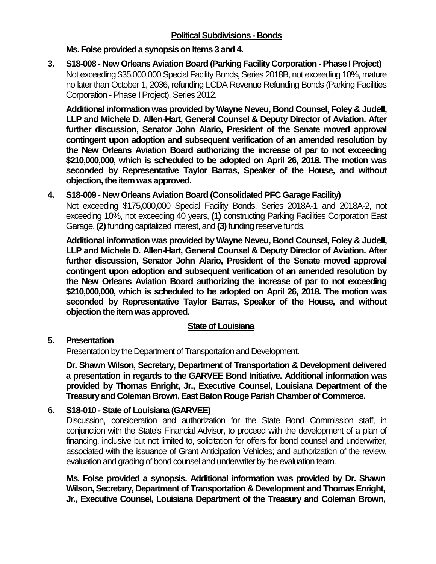**Ms. Folse provided a synopsis on Items 3 and 4.**

**3. S18-008 - New Orleans Aviation Board (Parking Facility Corporation -Phase I Project)** Not exceeding \$35,000,000 Special Facility Bonds, Series 2018B, not exceeding 10%, mature no later than October 1, 2036, refunding LCDA Revenue Refunding Bonds (Parking Facilities Corporation - Phase I Project), Series 2012.

**Additional information was provided by Wayne Neveu, Bond Counsel, Foley & Judell, LLP and Michele D. Allen-Hart, General Counsel & Deputy Director of Aviation. After further discussion, Senator John Alario, President of the Senate moved approval contingent upon adoption and subsequent verification of an amended resolution by the New Orleans Aviation Board authorizing the increase of par to not exceeding \$210,000,000, which is scheduled to be adopted on April 26, 2018. The motion was seconded by Representative Taylor Barras, Speaker of the House, and without objection,the item was approved.**

# **4. S18-009 - New Orleans Aviation Board (Consolidated PFC Garage Facility)**

Not exceeding \$175,000,000 Special Facility Bonds, Series 2018A-1 and 2018A-2, not exceeding 10%, not exceeding 40 years, **(1)** constructing Parking Facilities Corporation East Garage, **(2)**funding capitalized interest, and **(3)**funding reserve funds.

**Additional information was provided by Wayne Neveu, Bond Counsel, Foley & Judell, LLP and Michele D. Allen-Hart, General Counsel & Deputy Director of Aviation. After further discussion, Senator John Alario, President of the Senate moved approval contingent upon adoption and subsequent verification of an amended resolution by the New Orleans Aviation Board authorizing the increase of par to not exceeding \$210,000,000, which is scheduled to be adopted on April 26, 2018. The motion was seconded by Representative Taylor Barras, Speaker of the House, and without objection the item was approved.**

# **State of Louisiana**

# **5. Presentation**

Presentation by the Department of Transportation and Development.

**Dr. Shawn Wilson, Secretary, Department of Transportation & Development delivered a presentation in regards to the GARVEE Bond Initiative. Additional information was provided by Thomas Enright, Jr., Executive Counsel, Louisiana Department of the Treasury and Coleman Brown, East Baton Rouge Parish Chamber of Commerce.**

# 6. **S18-010 - State of Louisiana (GARVEE)**

Discussion, consideration and authorization for the State Bond Commission staff, in conjunction with the State's Financial Advisor, to proceed with the development of a plan of financing, inclusive but not limited to, solicitation for offers for bond counsel and underwriter, associated with the issuance of Grant Anticipation Vehicles; and authorization of the review, evaluation and grading of bond counsel and underwriter by the evaluation team.

**Ms. Folse provided a synopsis. Additional information was provided by Dr. Shawn Wilson, Secretary, Department of Transportation & Development and Thomas Enright, Jr., Executive Counsel, Louisiana Department of the Treasury and Coleman Brown,**